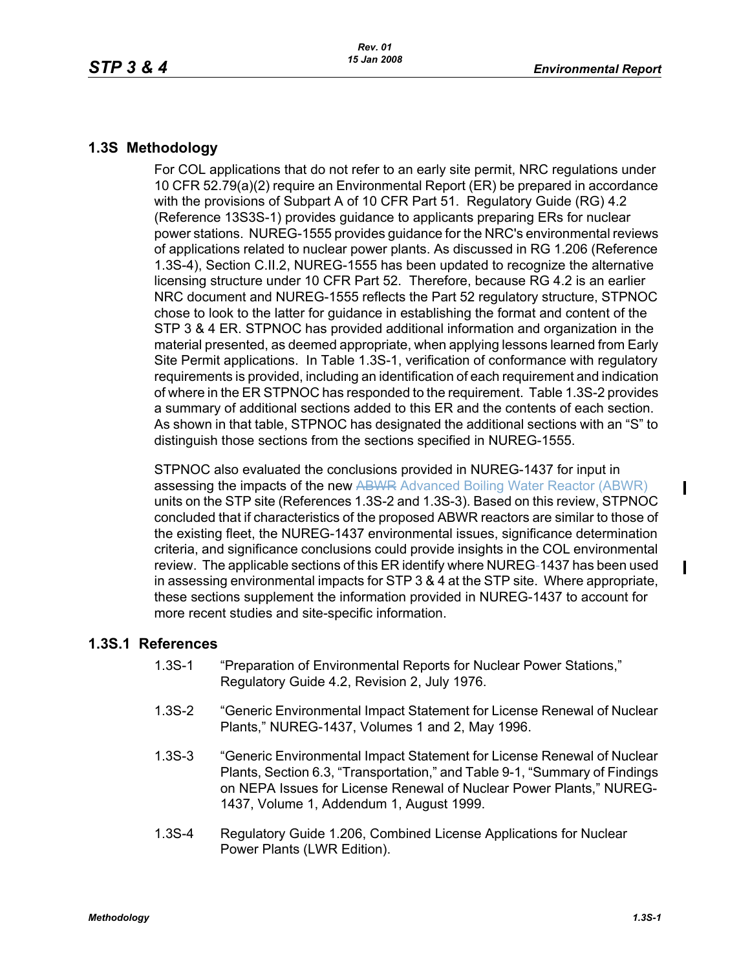## **1.3S Methodology**

For COL applications that do not refer to an early site permit, NRC regulations under 10 CFR 52.79(a)(2) require an Environmental Report (ER) be prepared in accordance with the provisions of Subpart A of 10 CFR Part 51. Regulatory Guide (RG) 4.2 (Reference 13S3S-1) provides guidance to applicants preparing ERs for nuclear power stations. NUREG-1555 provides guidance for the NRC's environmental reviews of applications related to nuclear power plants. As discussed in RG 1.206 (Reference 1.3S-4), Section C.II.2, NUREG-1555 has been updated to recognize the alternative licensing structure under 10 CFR Part 52. Therefore, because RG 4.2 is an earlier NRC document and NUREG-1555 reflects the Part 52 regulatory structure, STPNOC chose to look to the latter for guidance in establishing the format and content of the STP 3 & 4 ER. STPNOC has provided additional information and organization in the material presented, as deemed appropriate, when applying lessons learned from Early Site Permit applications. In Table 1.3S-1, verification of conformance with regulatory requirements is provided, including an identification of each requirement and indication of where in the ER STPNOC has responded to the requirement. Table 1.3S-2 provides a summary of additional sections added to this ER and the contents of each section. As shown in that table, STPNOC has designated the additional sections with an "S" to distinguish those sections from the sections specified in NUREG-1555.

STPNOC also evaluated the conclusions provided in NUREG-1437 for input in assessing the impacts of the new ABWR Advanced Boiling Water Reactor (ABWR) units on the STP site (References 1.3S-2 and 1.3S-3). Based on this review, STPNOC concluded that if characteristics of the proposed ABWR reactors are similar to those of the existing fleet, the NUREG-1437 environmental issues, significance determination criteria, and significance conclusions could provide insights in the COL environmental review. The applicable sections of this ER identify where NUREG-1437 has been used in assessing environmental impacts for STP 3 & 4 at the STP site. Where appropriate, these sections supplement the information provided in NUREG-1437 to account for more recent studies and site-specific information.

## **1.3S.1 References**

- 1.3S-1 "Preparation of Environmental Reports for Nuclear Power Stations," Regulatory Guide 4.2, Revision 2, July 1976.
- 1.3S-2 "Generic Environmental Impact Statement for License Renewal of Nuclear Plants," NUREG-1437, Volumes 1 and 2, May 1996.
- 1.3S-3 "Generic Environmental Impact Statement for License Renewal of Nuclear Plants, Section 6.3, "Transportation," and Table 9-1, "Summary of Findings on NEPA Issues for License Renewal of Nuclear Power Plants," NUREG-1437, Volume 1, Addendum 1, August 1999.
- 1.3S-4 Regulatory Guide 1.206, Combined License Applications for Nuclear Power Plants (LWR Edition).

Ι

 $\blacksquare$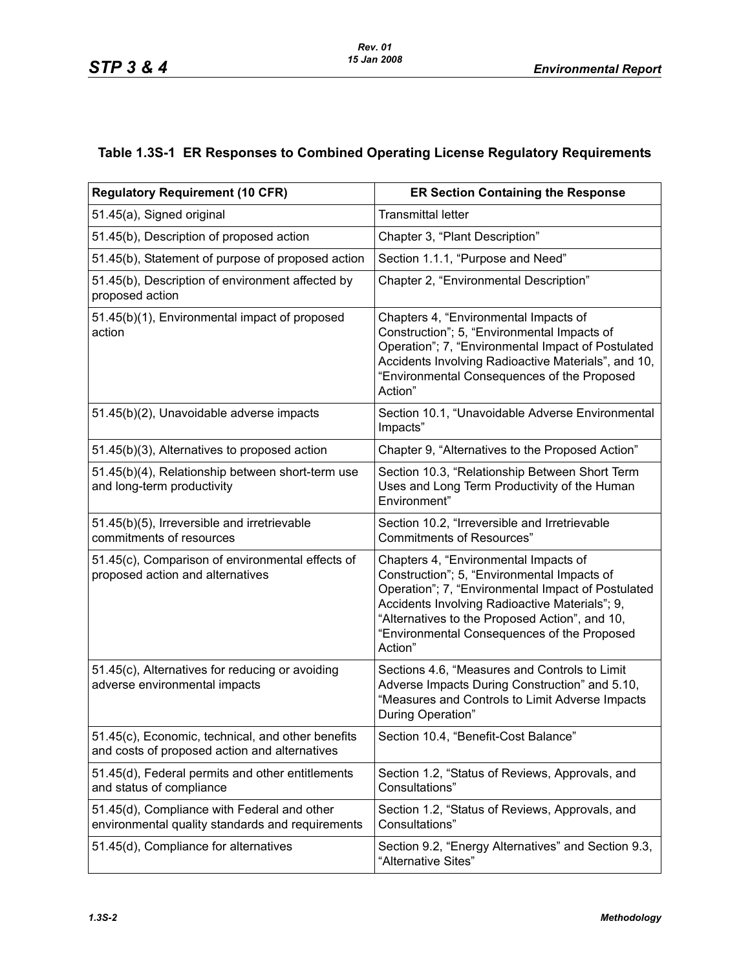## **Table 1.3S-1 ER Responses to Combined Operating License Regulatory Requirements**

| <b>Regulatory Requirement (10 CFR)</b>                                                             | <b>ER Section Containing the Response</b>                                                                                                                                                                                                                                                                |
|----------------------------------------------------------------------------------------------------|----------------------------------------------------------------------------------------------------------------------------------------------------------------------------------------------------------------------------------------------------------------------------------------------------------|
| 51.45(a), Signed original                                                                          | <b>Transmittal letter</b>                                                                                                                                                                                                                                                                                |
| 51.45(b), Description of proposed action                                                           | Chapter 3, "Plant Description"                                                                                                                                                                                                                                                                           |
| 51.45(b), Statement of purpose of proposed action                                                  | Section 1.1.1, "Purpose and Need"                                                                                                                                                                                                                                                                        |
| 51.45(b), Description of environment affected by<br>proposed action                                | Chapter 2, "Environmental Description"                                                                                                                                                                                                                                                                   |
| 51.45(b)(1), Environmental impact of proposed<br>action                                            | Chapters 4, "Environmental Impacts of<br>Construction"; 5, "Environmental Impacts of<br>Operation"; 7, "Environmental Impact of Postulated<br>Accidents Involving Radioactive Materials", and 10,<br>"Environmental Consequences of the Proposed<br>Action"                                              |
| 51.45(b)(2), Unavoidable adverse impacts                                                           | Section 10.1, "Unavoidable Adverse Environmental<br>Impacts"                                                                                                                                                                                                                                             |
| 51.45(b)(3), Alternatives to proposed action                                                       | Chapter 9, "Alternatives to the Proposed Action"                                                                                                                                                                                                                                                         |
| 51.45(b)(4), Relationship between short-term use<br>and long-term productivity                     | Section 10.3, "Relationship Between Short Term<br>Uses and Long Term Productivity of the Human<br>Environment"                                                                                                                                                                                           |
| 51.45(b)(5), Irreversible and irretrievable<br>commitments of resources                            | Section 10.2, "Irreversible and Irretrievable<br><b>Commitments of Resources"</b>                                                                                                                                                                                                                        |
| 51.45(c), Comparison of environmental effects of<br>proposed action and alternatives               | Chapters 4, "Environmental Impacts of<br>Construction"; 5, "Environmental Impacts of<br>Operation"; 7, "Environmental Impact of Postulated<br>Accidents Involving Radioactive Materials"; 9,<br>"Alternatives to the Proposed Action", and 10,<br>"Environmental Consequences of the Proposed<br>Action" |
| 51.45(c), Alternatives for reducing or avoiding<br>adverse environmental impacts                   | Sections 4.6, "Measures and Controls to Limit<br>Adverse Impacts During Construction" and 5.10,<br>"Measures and Controls to Limit Adverse Impacts<br>During Operation"                                                                                                                                  |
| 51.45(c), Economic, technical, and other benefits<br>and costs of proposed action and alternatives | Section 10.4, "Benefit-Cost Balance"                                                                                                                                                                                                                                                                     |
| 51.45(d), Federal permits and other entitlements<br>and status of compliance                       | Section 1.2, "Status of Reviews, Approvals, and<br>Consultations"                                                                                                                                                                                                                                        |
| 51.45(d), Compliance with Federal and other<br>environmental quality standards and requirements    | Section 1.2, "Status of Reviews, Approvals, and<br>Consultations"                                                                                                                                                                                                                                        |
| 51.45(d), Compliance for alternatives                                                              | Section 9.2, "Energy Alternatives" and Section 9.3,<br>"Alternative Sites"                                                                                                                                                                                                                               |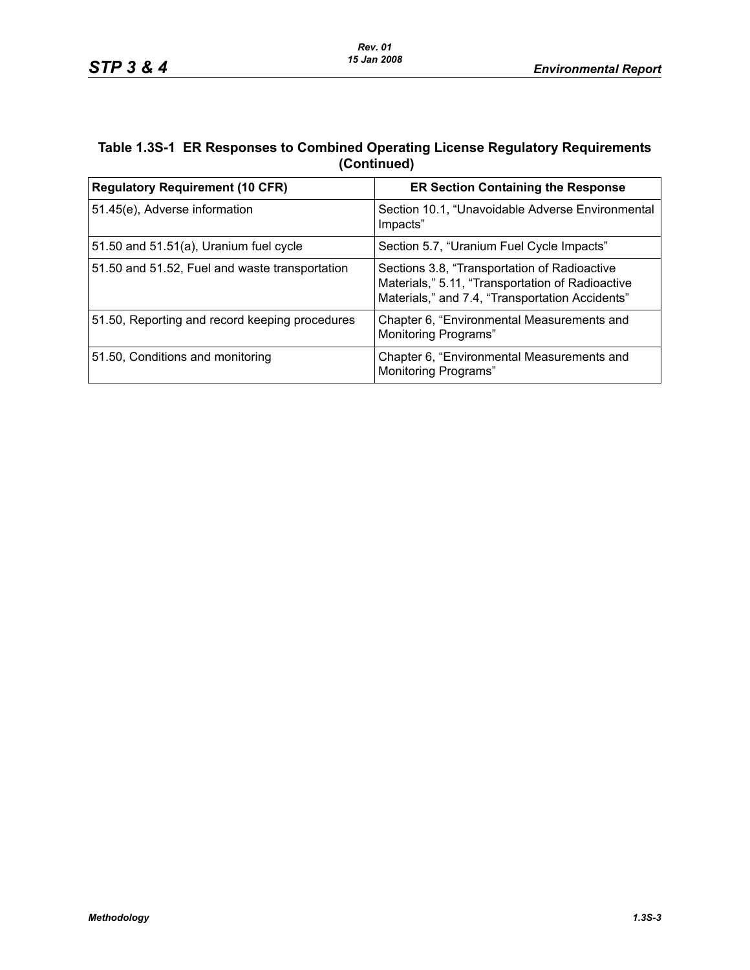## **Table 1.3S-1 ER Responses to Combined Operating License Regulatory Requirements (Continued)**

| <b>Regulatory Requirement (10 CFR)</b>         | <b>ER Section Containing the Response</b>                                                                                                           |
|------------------------------------------------|-----------------------------------------------------------------------------------------------------------------------------------------------------|
| 51.45(e), Adverse information                  | Section 10.1, "Unavoidable Adverse Environmental<br>Impacts"                                                                                        |
| 51.50 and $51.51(a)$ , Uranium fuel cycle      | Section 5.7, "Uranium Fuel Cycle Impacts"                                                                                                           |
| 51.50 and 51.52, Fuel and waste transportation | Sections 3.8, "Transportation of Radioactive<br>Materials," 5.11, "Transportation of Radioactive<br>Materials," and 7.4, "Transportation Accidents" |
| 51.50, Reporting and record keeping procedures | Chapter 6, "Environmental Measurements and<br><b>Monitoring Programs"</b>                                                                           |
| 51.50, Conditions and monitoring               | Chapter 6, "Environmental Measurements and<br>Monitoring Programs"                                                                                  |